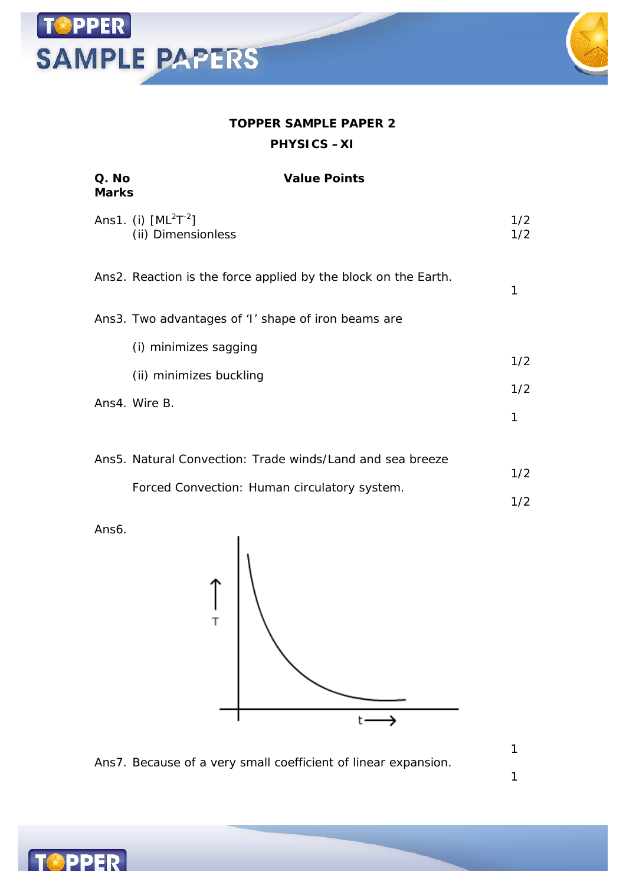# **TOPPER SAMPLE PAPERS**



### **TOPPER SAMPLE PAPER 2 PHYSICS –XI**

| Q. No<br>Marks | <b>Value Points</b>                                            |            |
|----------------|----------------------------------------------------------------|------------|
|                | Ans1. (i) $[ML^2T^{-2}]$<br>(ii) Dimensionless                 | 1/2<br>1/2 |
|                | Ans2. Reaction is the force applied by the block on the Earth. | 1          |
|                | Ans3. Two advantages of 'I' shape of iron beams are            |            |
|                | (i) minimizes sagging                                          | 1/2        |
|                | (ii) minimizes buckling                                        |            |
|                | Ans4. Wire B.                                                  | 1/2        |
|                |                                                                | 1          |
|                |                                                                |            |

| Ans5. Natural Convection: Trade winds/Land and sea breeze |     |  |
|-----------------------------------------------------------|-----|--|
|                                                           | 1/2 |  |
| Forced Convection: Human circulatory system.              |     |  |
|                                                           | 1/2 |  |

Ans6.

**SPPER** 



Ans7. Because of a very small coefficient of linear expansion.

1 1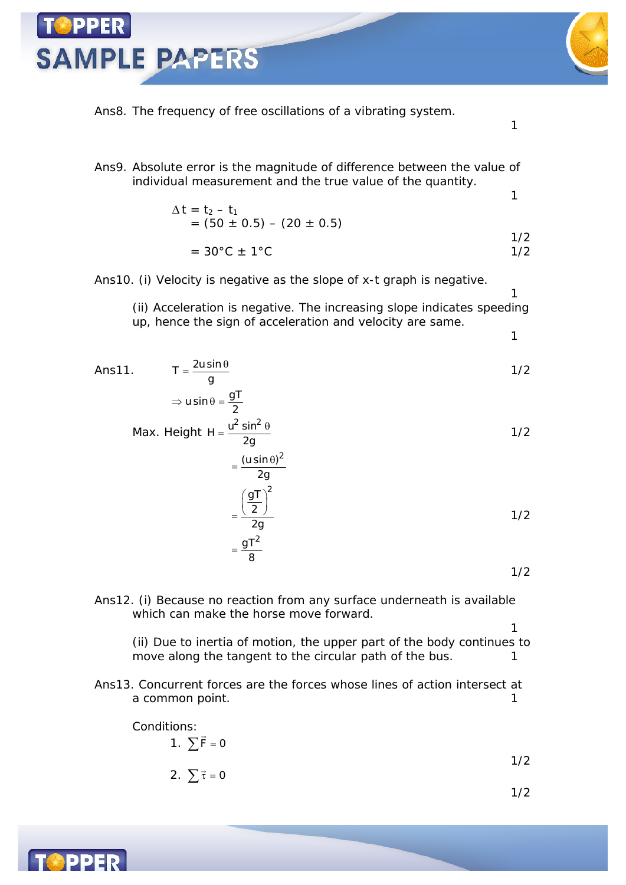Ans8. The frequency of free oscillations of a vibrating system.

Ans9. Absolute error is the magnitude of difference between the value of individual measurement and the true value of the quantity. 1

$$
\Delta t = t_2 - t_1
$$
  
= (50 ± 0.5) – (20 ± 0.5)  
= 30°C ± 1°C 1/2

#### Ans10. (i) Velocity is negative as the slope of x-t graph is negative.

 $\rightarrow$  usin  $\theta - 9$ T

**SAMPLE PAPERS** 

(ii) Acceleration is negative. The increasing slope indicates speeding up, hence the sign of acceleration and velocity are same.

1

1

1

$$
Ans11. \qquad T = \frac{2u\sin\theta}{g}
$$

$$
\frac{2}{3} \times 4 \times 10 = \frac{2}{29}
$$
  
Max. Height H = 
$$
\frac{u^2 \sin^2 \theta}{2g}
$$
 1/2

$$
=\frac{\left(\frac{gT}{2}\right)^2}{2g}
$$
  
= 
$$
\frac{gT^2}{8}
$$
 1/2

1/2

1

Ans12. (i) Because no reaction from any surface underneath is available which can make the horse move forward.

(ii) Due to inertia of motion, the upper part of the body continues to move along the tangent to the circular path of the bus.  $1$ 

Ans13. Concurrent forces are the forces whose lines of action intersect at a common point. 1

Conditions:

\n
$$
1. \sum \vec{F} = 0
$$
\n
$$
2. \sum \vec{\tau} = 0
$$
\n
$$
1/2
$$
\n
$$
1/2
$$

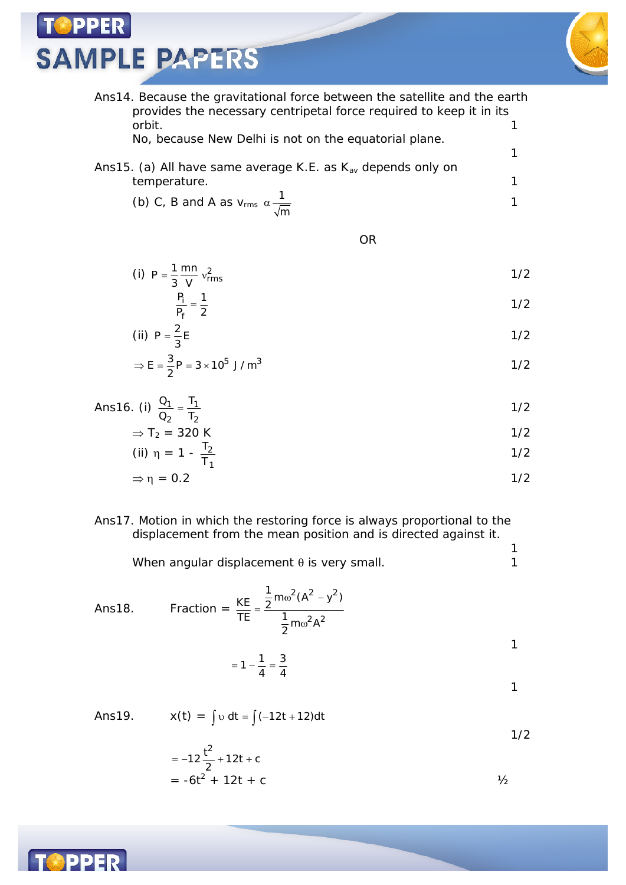**SAMPLE PAPERS** 

**PPER** 



1

Ans14. Because the gravitational force between the satellite and the earth provides the necessary centripetal force required to keep it in its orbit. 1

No, because New Delhi is not on the equatorial plane.

1 Ans15. (a) All have same average K.E. as  $K_{av}$  depends only on temperature. 1

(b) C, B and A as 
$$
v_{\rm rms} \alpha \frac{1}{\sqrt{m}}
$$

OR

(i) 
$$
P = \frac{1}{3} \frac{mn}{V} v_{rms}^2
$$
 1/2

$$
\frac{P_i}{P_f} = \frac{1}{2}
$$

(ii) 
$$
P = \frac{2}{3}E
$$

$$
\Rightarrow E = \frac{3}{2}P = 3 \times 10^5 \text{ J/m}^3
$$

Ans16. (i) 
$$
\frac{Q_1}{Q_2} = \frac{T_1}{T_2}
$$
 1/2

$$
\Rightarrow T_2 = 320 \text{ K}
$$

(ii) 
$$
\eta = 1 - \frac{T_2}{T_1}
$$
 1/2

$$
\Rightarrow \eta = 0.2 \tag{1/2}
$$

#### Ans17. Motion in which the restoring force is always proportional to the displacement from the mean position and is directed against it.

When angular displacement  $\theta$  is very small.  $\qquad \qquad$  1

Ans18. Fraction =  $\omega^2(A^2 - )$ =  $\omega$  $^{2}(A^{2}-y^{2})$  $^{2}$   $^{2}$  $\frac{KE}{2} = \frac{1}{2} m \omega^2 (A^2 - y^2)$ TE  $\frac{1}{2}$ m $\omega^2$ A 1  $= 1 - \frac{1}{4} = \frac{3}{4}$ 1

Ans19. 
$$
x(t) = \int v dt = \int (-12t + 12)dt
$$

$$
= -12\frac{t^{2}}{2} + 12t + c
$$
  
= -6t<sup>2</sup> + 12t + c

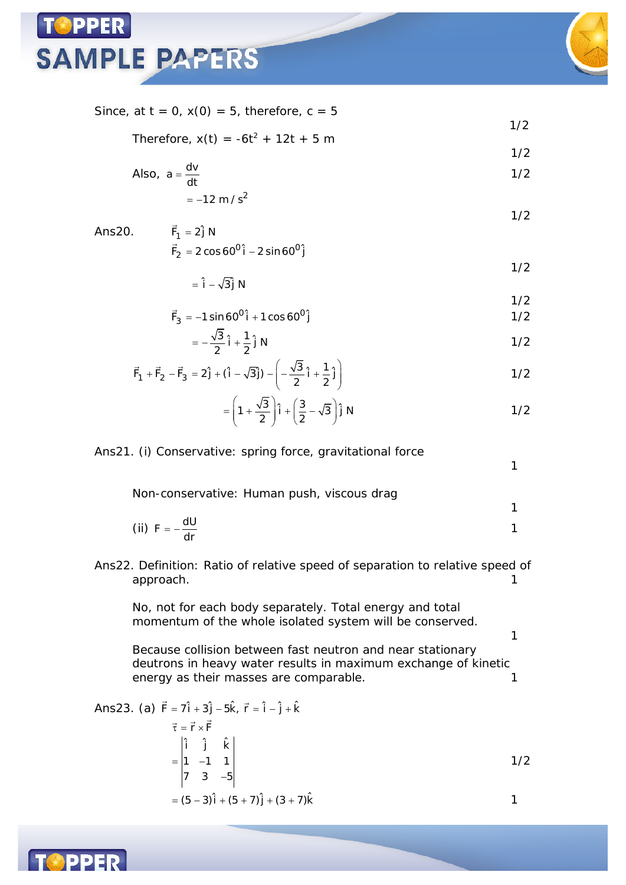



1/2

1

1

1

Since, at  $t = 0$ ,  $x(0) = 5$ , therefore,  $c = 5$ 

Therefore, 
$$
x(t) = -6t^2 + 12t + 5
$$
 m

Also, 
$$
a = \frac{dv}{dt}
$$
 1/2

$$
=-12 \text{ m/s}^2
$$

1/2 Ans20.  $\overline{a}$  $F_1 = 2\hat{j} N$  $=2\cos 60^\circ$ i – 2  $\vec{F}_2 = 2 \cos 60^\circ \hat{i} - 2 \sin 60^\circ \hat{j}$ 

$$
1/2
$$

 $= \hat{i} - \sqrt{3}\hat{j}$  N 1/2

$$
\vec{F}_3 = -1\sin 60^\circ \hat{i} + 1\cos 60^\circ \hat{j}
$$

$$
=-\frac{\sqrt{3}}{2}\hat{i}+\frac{1}{2}\hat{j}N
$$

$$
\vec{F}_1 + \vec{F}_2 - \vec{F}_3 = 2\hat{j} + (\hat{i} - \sqrt{3}\hat{j}) - \left(-\frac{\sqrt{3}}{2}\hat{i} + \frac{1}{2}\hat{j}\right)
$$

$$
= \left(1 + \frac{\sqrt{3}}{2}\right)\hat{i} + \left(\frac{3}{2} - \sqrt{3}\right)\hat{j} N
$$

### Ans21. (i) Conservative: spring force, gravitational force

Non-conservative: Human push, viscous drag

(ii) 
$$
F = -\frac{dU}{dr}
$$

Ans22. Definition: Ratio of relative speed of separation to relative speed of approach. The contract of the contract of the contract of the contract of the contract of the contract of the contract of the contract of the contract of the contract of the contract of the contract of the contract of the

No, not for each body separately. Total energy and total momentum of the whole isolated system will be conserved.

Because collision between fast neutron and near stationary deutrons in heavy water results in maximum exchange of kinetic energy as their masses are comparable. 1

Ans23. (a) 
$$
\vec{F} = 7\hat{i} + 3\hat{j} - 5\hat{k}
$$
,  $\vec{r} = \hat{i} - \hat{j} + \hat{k}$   
\n
$$
\vec{\tau} = \vec{r} \times \vec{F}
$$
\n
$$
= \begin{vmatrix} \hat{i} & \hat{j} & \hat{k} \\ 1 & -1 & 1 \\ 7 & 3 & -5 \end{vmatrix}
$$
\n
$$
= (5 - 3)\hat{i} + (5 + 7)\hat{j} + (3 + 7)\hat{k}
$$

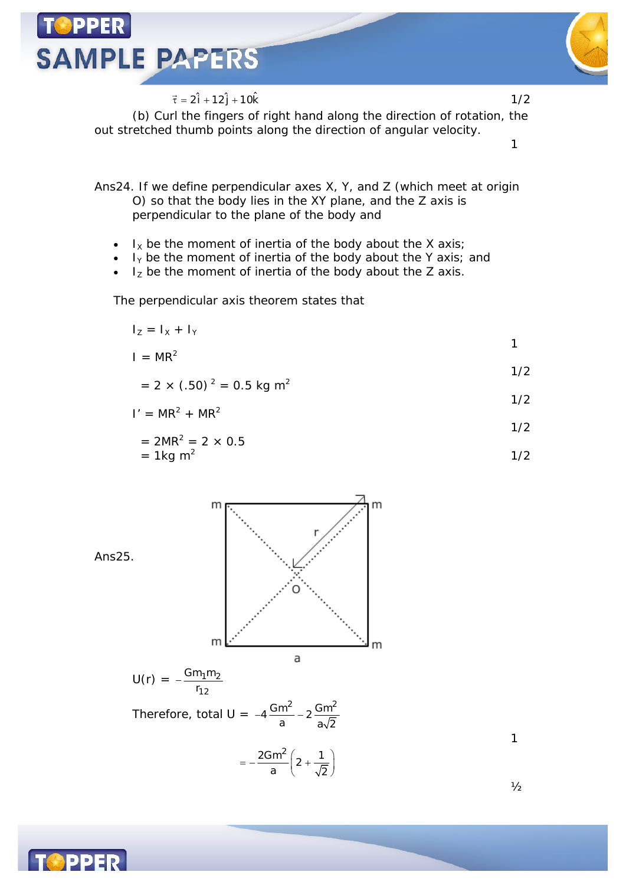

 $\vec{\tau} = 2\hat{i} + 12\hat{j} + 10\hat{k}$  1/2 (b) Curl the fingers of right hand along the direction of rotation, the out stretched thumb points along the direction of angular velocity.

Ans24. If we define perpendicular axes *X*, *Y*, and *Z* (which meet at origin *O*) so that the body lies in the *XY* plane, and the *Z* axis is perpendicular to the plane of the body and

- $I_X$  be the moment of inertia of the body about the *X* axis;
- *I<sup>Y</sup>* be the moment of inertia of the body about the *Y* axis; and
- *I<sup>Z</sup>* be the moment of inertia of the body about the *Z* axis.

The perpendicular axis theorem states that

$$
I_Z = I_X + I_Y
$$

$$
I = MR^2
$$

$$
= 2 \times (.50)^{2} = 0.5 \text{ kg m}^{2}
$$

$$
I' = MR^2 + MR^2
$$

$$
= 2MR^2 = 2 \times 0.5
$$
  
= 1kg m<sup>2</sup> 1/2

Ans25.  
\n
$$
m \frac{1}{2}
$$
\n
$$
m \frac{1}{2}
$$
\n
$$
U(r) = -\frac{Gm_1m_2}{r_{12}}
$$
\nTherefore, total  $U = -4\frac{Gm^2}{a} - 2\frac{Gm^2}{a\sqrt{2}}$   
\n
$$
= -\frac{2Gm^2}{a} \left(2 + \frac{1}{\sqrt{2}}\right)
$$

1

1

1/2

1/2



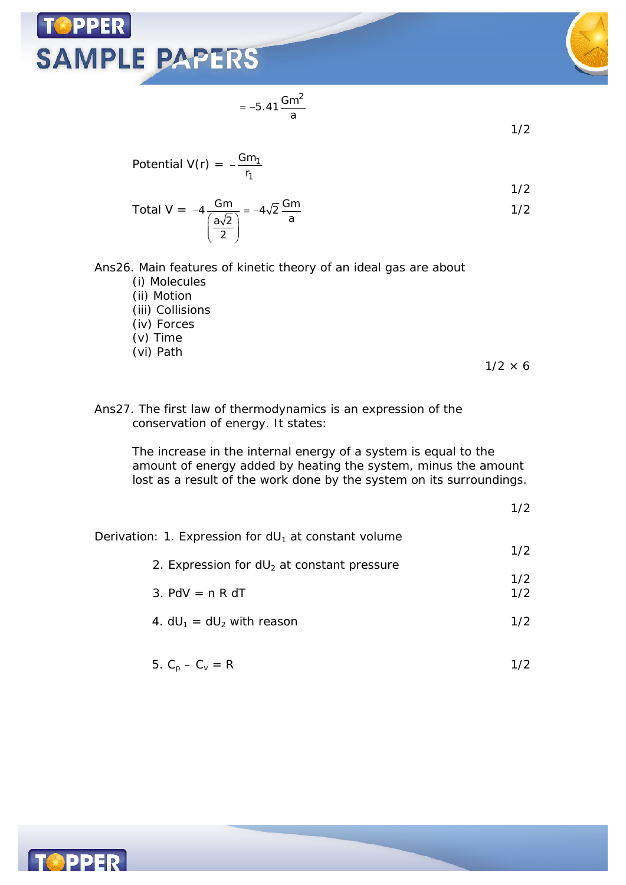# **OPPER SAMPLE PAPERS**



1/2

Potential V(r) = 
$$
-\frac{Gm_1}{r_1}
$$

Total V = 
$$
-4\frac{Gm}{\left(\frac{a\sqrt{2}}{2}\right)} = -4\sqrt{2}\frac{Gm}{a}
$$
 1/2

Ans26. Main features of kinetic theory of an ideal gas are about

 $= -5.41 \frac{Gm^2}{a}$ 

- (i) Molecules
- (ii) Motion
- (iii) Collisions
- (iv) Forces
- (v) Time
- (vi) Path

 $1/2 \times 6$ 

Ans27. The first law of thermodynamics is an expression of the conservation of energy. It states:

> The increase in the internal energy of a system is equal to the amount of energy added by heating the system, minus the amount lost as a result of the work done by the system on its surroundings.

> > 1/2

| Derivation: 1. Expression for $dU_1$ at constant volume |     |
|---------------------------------------------------------|-----|
| 2. Expression for $dU_2$ at constant pressure           | 1/2 |
|                                                         | 1/2 |
| 3. PdV $=$ n R dT                                       | 1/2 |
| 4. $dU_1 = dU_2$ with reason                            | 1/2 |
|                                                         |     |

5. 
$$
C_p - C_v = R
$$
 1/2

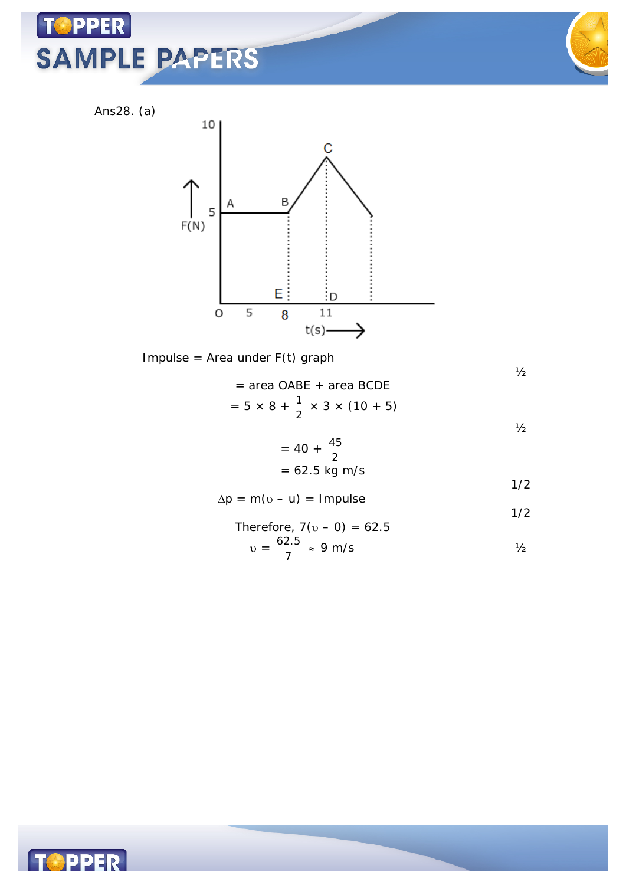# PPER **SAMPLE PAPERS**



Ans28. (a)



Impulse = Area under  $F(t)$  graph

 $\frac{1}{2}$ 

 $\frac{1}{2}$ 

= area OABE + area BCDE  
= 
$$
5 \times 8 + \frac{1}{2} \times 3 \times (10 + 5)
$$

$$
= 40 + \frac{45}{2}
$$
  
= 62.5 kg m/s  
1/2

$$
\Delta p = m(v - u) = Impulse
$$

Therefore, 
$$
7(v - 0) = 62.5
$$

$$
v = \frac{62.5}{7} \approx 9 \text{ m/s}
$$

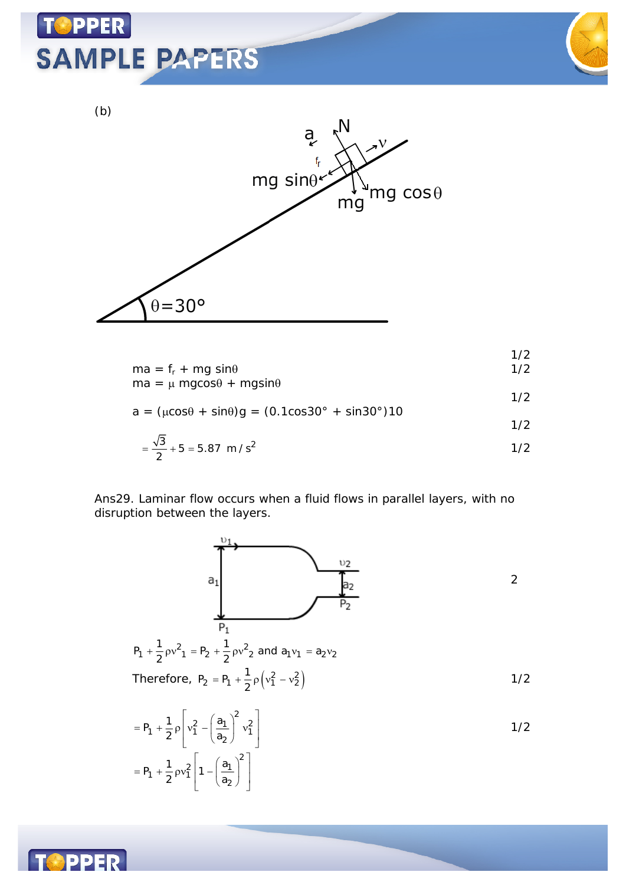# **PPER SAMPLE PAPERS**



1/2





$$
ma = f_r + mg \sin\theta \qquad \qquad 1/2
$$

$$
ma = \mu mg \cos \theta + mg \sin \theta
$$

$$
a = (\mu \cos \theta + \sin \theta)g = (0.1 \cos 30^\circ + \sin 30^\circ)10
$$

$$
=\frac{\sqrt{3}}{2}+5=5.87 \text{ m/s}^2
$$

#### Ans29. Laminar flow occurs when a fluid flows in parallel layers, with no disruption between the layers.



$$
= P_1 + \frac{1}{2} \rho \left[ v_1^2 - \left( \frac{a_1}{a_2} \right)^2 v_1^2 \right]
$$
  
= P\_1 + \frac{1}{2} \rho v\_1^2 \left[ 1 - \left( \frac{a\_1}{a\_2} \right)^2 \right]

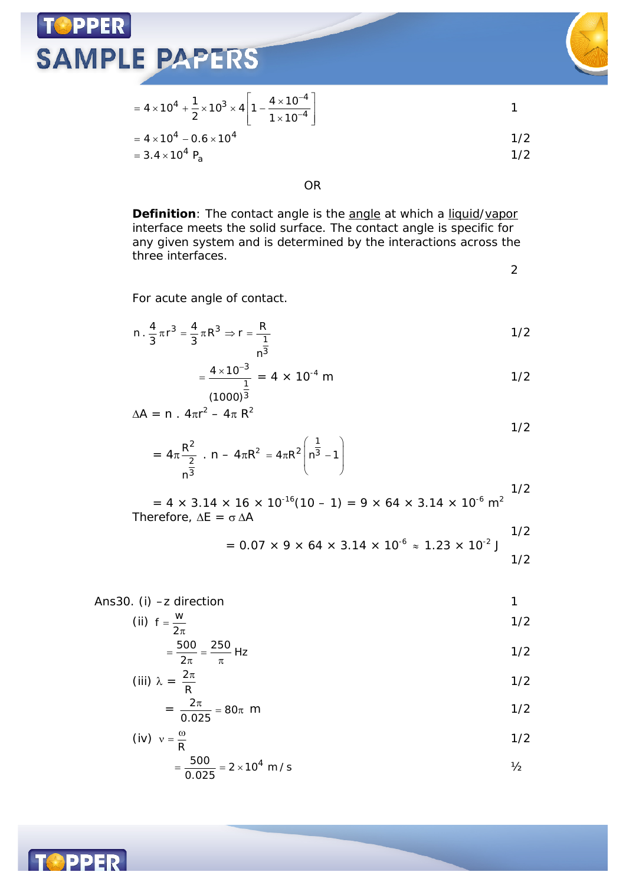

$$
= 4 \times 10^{4} + \frac{1}{2} \times 10^{3} \times 4 \left[ 1 - \frac{4 \times 10^{-4}}{1 \times 10^{-4}} \right]
$$
  
= 4 \times 10^{4} - 0.6 \times 10^{4}  
= 3.4 \times 10^{4} P<sub>a</sub> 1/2

OR

**Definition**: The contact angle is the angle at which a liquid/vapor interface meets the solid surface. The contact angle is specific for any given system and is determined by the interactions across the three interfaces.

2

For acute angle of contact.

$$
n \cdot \frac{4}{3} \pi r^3 = \frac{4}{3} \pi R^3 \Rightarrow r = \frac{R}{\frac{1}{n^3}}
$$

$$
= \frac{4 \times 10^{-3}}{1} = 4 \times 10^{-4} \text{ m}
$$

$$
\Delta A = n \cdot 4\pi r^2 - 4\pi R^2
$$

$$
= 4\pi \frac{R^2}{\frac{2}{n^3}} \cdot n - 4\pi R^2 = 4\pi R^2 \left( n^{\frac{1}{3}} - 1 \right)
$$

 $= 4 \times 3.14 \times 16 \times 10^{-16} (10 - 1) = 9 \times 64 \times 3.14 \times 10^{-6}$  m<sup>2</sup> Therefore,  $\Delta E = \sigma \Delta A$ 1/2

$$
= 0.07 \times 9 \times 64 \times 3.14 \times 10^{-6} \approx 1.23 \times 10^{-2} \text{ J}
$$

Ans30. (i) –z direction 1

(ii) 
$$
f = \frac{w}{2\pi}
$$

$$
=\frac{500}{2\pi} = \frac{250}{\pi}
$$
 Hz

$$
\text{(iii)} \ \lambda = \frac{2\pi}{R} \tag{1/2}
$$

$$
= \frac{2\pi}{0.025} = 80\pi \text{ m}
$$

$$
(iv) \quad v = \frac{\omega}{R}
$$

$$
=\frac{500}{0.025} = 2 \times 10^4 \text{ m/s}
$$